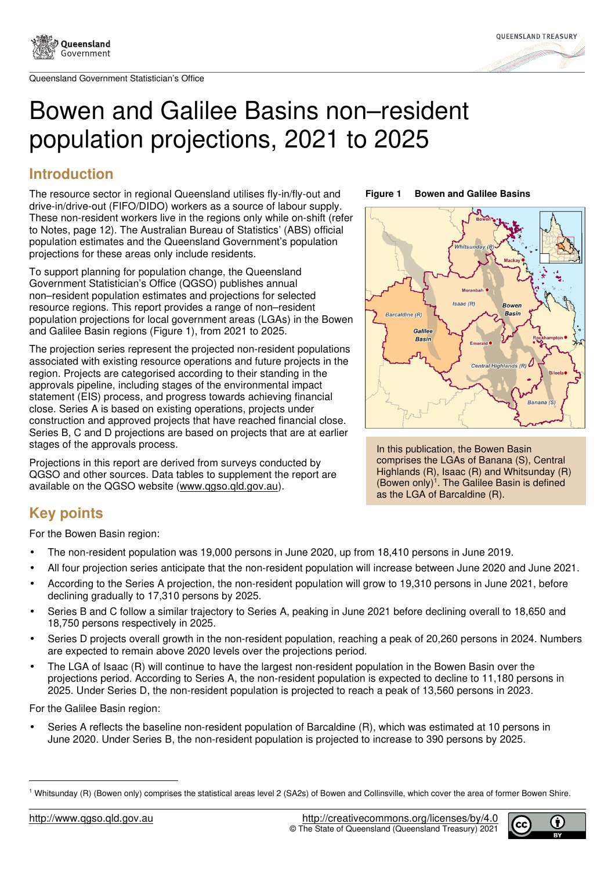



# Bowen and Galilee Basins non–resident population projections, 2021 to 2025

# **Introduction**

The resource sector in regional Queensland utilises fly-in/fly-out and drive-in/drive-out (FIFO/DIDO) workers as a source of labour supply. These non-resident workers live in the regions only while on-shift (refer to Notes, page 12). The Australian Bureau of Statistics' (ABS) official population estimates and the Queensland Government's population projections for these areas only include residents.

To support planning for population change, the Queensland Government Statistician's Office (QGSO) publishes annual non–resident population estimates and projections for selected resource regions. This report provides a range of non–resident population projections for local government areas (LGAs) in the Bowen and Galilee Basin regions (Figure 1), from 2021 to 2025.

The projection series represent the projected non-resident populations associated with existing resource operations and future projects in the region. Projects are categorised according to their standing in the approvals pipeline, including stages of the environmental impact statement (EIS) process, and progress towards achieving financial close. Series A is based on existing operations, projects under construction and approved projects that have reached financial close. Series B, C and D projections are based on projects that are at earlier stages of the approvals process.

Projections in this report are derived from surveys conducted by QGSO and other sources. Data tables to supplement the report are available on the QGSO website (www.qgso.qld.gov.au).

## **Figure 1 Bowen and Galilee Basins**



In this publication, the Bowen Basin comprises the LGAs of Banana (S), Central Highlands (R), Isaac (R) and Whitsunday (R) (Bowen only)<sup>1</sup>. The Galilee Basin is defined as the LGA of Barcaldine (R).

# **Key points**

For the Bowen Basin region:

- The non-resident population was 19,000 persons in June 2020, up from 18,410 persons in June 2019.
- All four projection series anticipate that the non-resident population will increase between June 2020 and June 2021.
- According to the Series A projection, the non-resident population will grow to 19,310 persons in June 2021, before declining gradually to 17,310 persons by 2025.
- Series B and C follow a similar trajectory to Series A, peaking in June 2021 before declining overall to 18,650 and 18,750 persons respectively in 2025.
- Series D projects overall growth in the non-resident population, reaching a peak of 20,260 persons in 2024. Numbers are expected to remain above 2020 levels over the projections period.
- The LGA of Isaac (R) will continue to have the largest non-resident population in the Bowen Basin over the projections period. According to Series A, the non-resident population is expected to decline to 11,180 persons in 2025. Under Series D, the non-resident population is projected to reach a peak of 13,560 persons in 2023.

For the Galilee Basin region:

• Series A reflects the baseline non-resident population of Barcaldine (R), which was estimated at 10 persons in June 2020. Under Series B, the non-resident population is projected to increase to 390 persons by 2025.



<sup>1</sup> Whitsunday (R) (Bowen only) comprises the statistical areas level 2 (SA2s) of Bowen and Collinsville, which cover the area of former Bowen Shire.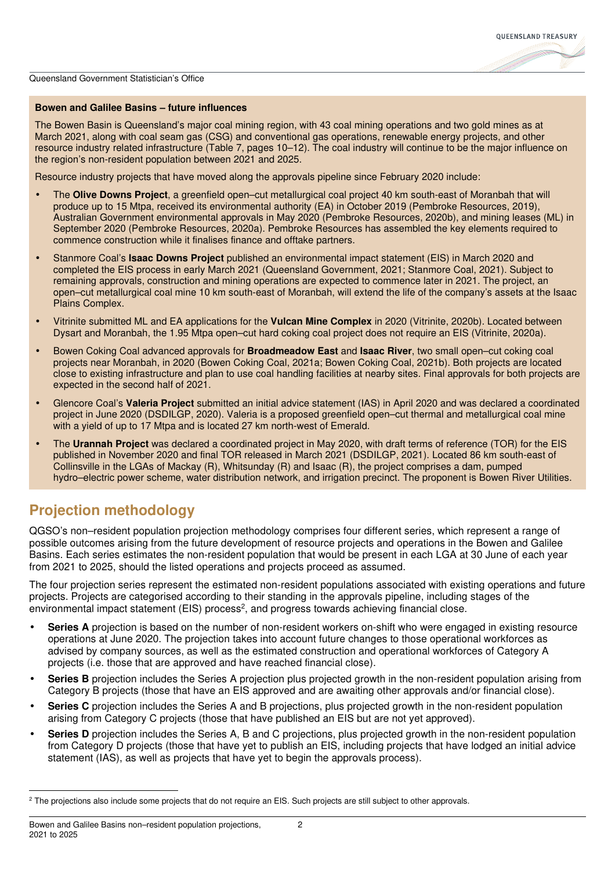

## **Bowen and Galilee Basins – future influences**

The Bowen Basin is Queensland's major coal mining region, with 43 coal mining operations and two gold mines as at March 2021, along with coal seam gas (CSG) and conventional gas operations, renewable energy projects, and other resource industry related infrastructure (Table 7, pages 10–12). The coal industry will continue to be the major influence on the region's non-resident population between 2021 and 2025.

Resource industry projects that have moved along the approvals pipeline since February 2020 include:

- The **Olive Downs Project**, a greenfield open–cut metallurgical coal project 40 km south-east of Moranbah that will produce up to 15 Mtpa, received its environmental authority (EA) in October 2019 (Pembroke Resources, 2019), Australian Government environmental approvals in May 2020 (Pembroke Resources, 2020b), and mining leases (ML) in September 2020 (Pembroke Resources, 2020a). Pembroke Resources has assembled the key elements required to commence construction while it finalises finance and offtake partners.
- Stanmore Coal's **Isaac Downs Project** published an environmental impact statement (EIS) in March 2020 and completed the EIS process in early March 2021 (Queensland Government, 2021; Stanmore Coal, 2021). Subject to remaining approvals, construction and mining operations are expected to commence later in 2021. The project, an open–cut metallurgical coal mine 10 km south-east of Moranbah, will extend the life of the company's assets at the Isaac Plains Complex.
- Vitrinite submitted ML and EA applications for the **Vulcan Mine Complex** in 2020 (Vitrinite, 2020b). Located between Dysart and Moranbah, the 1.95 Mtpa open–cut hard coking coal project does not require an EIS (Vitrinite, 2020a).
- Bowen Coking Coal advanced approvals for **Broadmeadow East** and **Isaac River**, two small open–cut coking coal projects near Moranbah, in 2020 (Bowen Coking Coal, 2021a; Bowen Coking Coal, 2021b). Both projects are located close to existing infrastructure and plan to use coal handling facilities at nearby sites. Final approvals for both projects are expected in the second half of 2021.
- Glencore Coal's **Valeria Project** submitted an initial advice statement (IAS) in April 2020 and was declared a coordinated project in June 2020 (DSDILGP, 2020). Valeria is a proposed greenfield open–cut thermal and metallurgical coal mine with a vield of up to 17 Mtpa and is located 27 km north-west of Emerald.
- The **Urannah Project** was declared a coordinated project in May 2020, with draft terms of reference (TOR) for the EIS published in November 2020 and final TOR released in March 2021 (DSDILGP, 2021). Located 86 km south-east of Collinsville in the LGAs of Mackay (R), Whitsunday (R) and Isaac (R), the project comprises a dam, pumped hydro–electric power scheme, water distribution network, and irrigation precinct. The proponent is Bowen River Utilities.

## **Projection methodology**

QGSO's non–resident population projection methodology comprises four different series, which represent a range of possible outcomes arising from the future development of resource projects and operations in the Bowen and Galilee Basins. Each series estimates the non-resident population that would be present in each LGA at 30 June of each year from 2021 to 2025, should the listed operations and projects proceed as assumed.

The four projection series represent the estimated non-resident populations associated with existing operations and future projects. Projects are categorised according to their standing in the approvals pipeline, including stages of the environmental impact statement (EIS) process<sup>2</sup>, and progress towards achieving financial close.

- **Series A** projection is based on the number of non-resident workers on-shift who were engaged in existing resource operations at June 2020. The projection takes into account future changes to those operational workforces as advised by company sources, as well as the estimated construction and operational workforces of Category A projects (i.e. those that are approved and have reached financial close).
- **Series B** projection includes the Series A projection plus projected growth in the non-resident population arising from Category B projects (those that have an EIS approved and are awaiting other approvals and/or financial close).
- **Series C** projection includes the Series A and B projections, plus projected growth in the non-resident population arising from Category C projects (those that have published an EIS but are not yet approved).
- **Series D** projection includes the Series A, B and C projections, plus projected growth in the non-resident population from Category D projects (those that have yet to publish an EIS, including projects that have lodged an initial advice statement (IAS), as well as projects that have yet to begin the approvals process).

<sup>&</sup>lt;sup>2</sup> The projections also include some projects that do not require an EIS. Such projects are still subject to other approvals.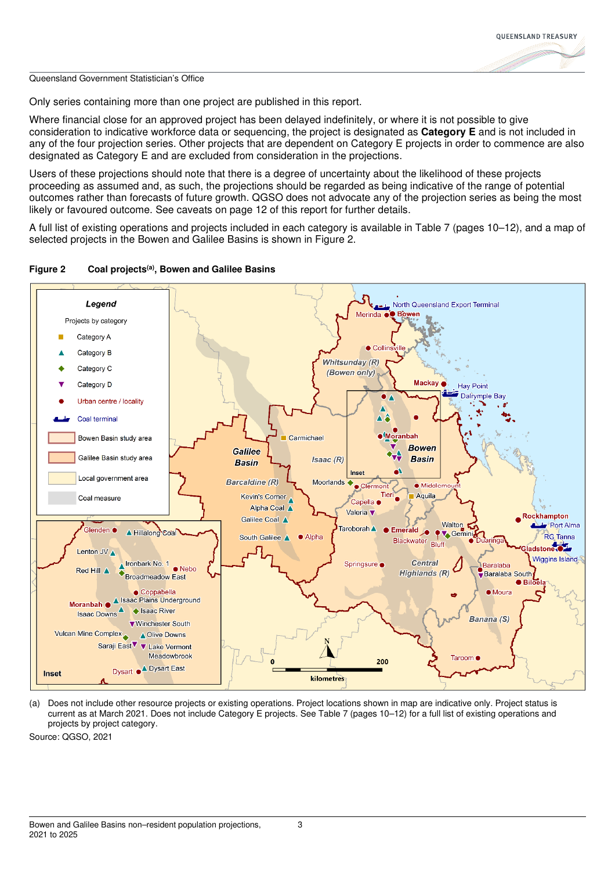

Only series containing more than one project are published in this report.

Where financial close for an approved project has been delayed indefinitely, or where it is not possible to give consideration to indicative workforce data or sequencing, the project is designated as **Category E** and is not included in any of the four projection series. Other projects that are dependent on Category E projects in order to commence are also designated as Category E and are excluded from consideration in the projections.

Users of these projections should note that there is a degree of uncertainty about the likelihood of these projects proceeding as assumed and, as such, the projections should be regarded as being indicative of the range of potential outcomes rather than forecasts of future growth. QGSO does not advocate any of the projection series as being the most likely or favoured outcome. See caveats on page 12 of this report for further details.

A full list of existing operations and projects included in each category is available in Table 7 (pages 10–12), and a map of selected projects in the Bowen and Galilee Basins is shown in Figure 2.



**Figure 2 Coal projects(a), Bowen and Galilee Basins** 

(a) Does not include other resource projects or existing operations. Project locations shown in map are indicative only. Project status is current as at March 2021. Does not include Category E projects. See Table 7 (pages 10–12) for a full list of existing operations and projects by project category.

Source: QGSO, 2021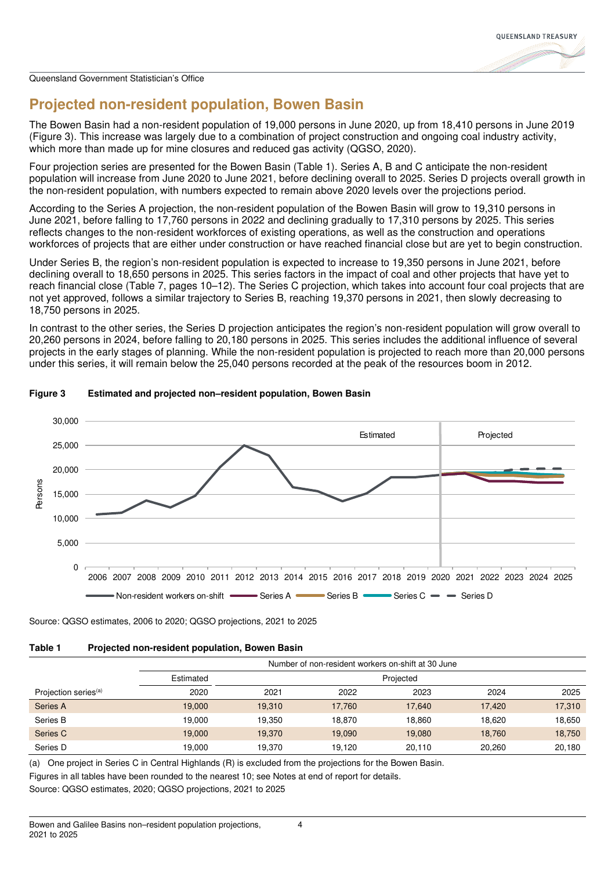

# **Projected non-resident population, Bowen Basin**

The Bowen Basin had a non-resident population of 19,000 persons in June 2020, up from 18,410 persons in June 2019 (Figure 3). This increase was largely due to a combination of project construction and ongoing coal industry activity, which more than made up for mine closures and reduced gas activity (QGSO, 2020).

Four projection series are presented for the Bowen Basin (Table 1). Series A, B and C anticipate the non-resident population will increase from June 2020 to June 2021, before declining overall to 2025. Series D projects overall growth in the non-resident population, with numbers expected to remain above 2020 levels over the projections period.

According to the Series A projection, the non-resident population of the Bowen Basin will grow to 19,310 persons in June 2021, before falling to 17,760 persons in 2022 and declining gradually to 17,310 persons by 2025. This series reflects changes to the non-resident workforces of existing operations, as well as the construction and operations workforces of projects that are either under construction or have reached financial close but are yet to begin construction.

Under Series B, the region's non-resident population is expected to increase to 19,350 persons in June 2021, before declining overall to 18,650 persons in 2025. This series factors in the impact of coal and other projects that have yet to reach financial close (Table 7, pages 10–12). The Series C projection, which takes into account four coal projects that are not yet approved, follows a similar trajectory to Series B, reaching 19,370 persons in 2021, then slowly decreasing to 18,750 persons in 2025.

In contrast to the other series, the Series D projection anticipates the region's non-resident population will grow overall to 20,260 persons in 2024, before falling to 20,180 persons in 2025. This series includes the additional influence of several projects in the early stages of planning. While the non-resident population is projected to reach more than 20,000 persons under this series, it will remain below the 25,040 persons recorded at the peak of the resources boom in 2012.



## **Figure 3 Estimated and projected non–resident population, Bowen Basin**

Source: QGSO estimates, 2006 to 2020; QGSO projections, 2021 to 2025

## **Table 1 Projected non-resident population, Bowen Basin**

|                                  | Number of non-resident workers on-shift at 30 June |           |        |        |        |        |
|----------------------------------|----------------------------------------------------|-----------|--------|--------|--------|--------|
|                                  | Estimated                                          | Projected |        |        |        |        |
| Projection series <sup>(a)</sup> | 2020                                               | 2021      | 2022   | 2023   | 2024   | 2025   |
| Series A                         | 19,000                                             | 19,310    | 17,760 | 17.640 | 17.420 | 17,310 |
| Series B                         | 19.000                                             | 19.350    | 18.870 | 18.860 | 18.620 | 18,650 |
| Series C                         | 19,000                                             | 19.370    | 19.090 | 19.080 | 18.760 | 18,750 |
| Series D                         | 19.000                                             | 19.370    | 19.120 | 20.110 | 20.260 | 20,180 |

(a) One project in Series C in Central Highlands (R) is excluded from the projections for the Bowen Basin.

Figures in all tables have been rounded to the nearest 10; see Notes at end of report for details.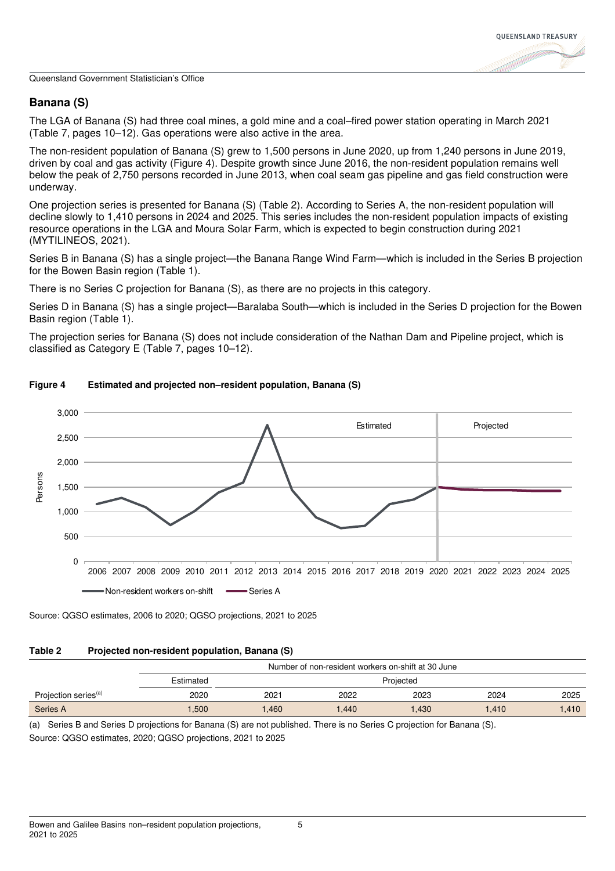

## **Banana (S)**

The LGA of Banana (S) had three coal mines, a gold mine and a coal–fired power station operating in March 2021 (Table 7, pages 10–12). Gas operations were also active in the area.

The non-resident population of Banana (S) grew to 1,500 persons in June 2020, up from 1,240 persons in June 2019, driven by coal and gas activity (Figure 4). Despite growth since June 2016, the non-resident population remains well below the peak of 2,750 persons recorded in June 2013, when coal seam gas pipeline and gas field construction were underway.

One projection series is presented for Banana (S) (Table 2). According to Series A, the non-resident population will decline slowly to 1,410 persons in 2024 and 2025. This series includes the non-resident population impacts of existing resource operations in the LGA and Moura Solar Farm, which is expected to begin construction during 2021 (MYTILINEOS, 2021).

Series B in Banana (S) has a single project—the Banana Range Wind Farm—which is included in the Series B projection for the Bowen Basin region (Table 1).

There is no Series C projection for Banana (S), as there are no projects in this category.

Series D in Banana (S) has a single project—Baralaba South—which is included in the Series D projection for the Bowen Basin region (Table 1).

The projection series for Banana (S) does not include consideration of the Nathan Dam and Pipeline project, which is classified as Category E (Table 7, pages 10–12).



## **Figure 4 Estimated and projected non–resident population, Banana (S)**

Source: QGSO estimates, 2006 to 2020; QGSO projections, 2021 to 2025

## **Table 2 Projected non-resident population, Banana (S)**

|                                  |           | Number of non-resident workers on-shift at 30 June |       |      |       |      |
|----------------------------------|-----------|----------------------------------------------------|-------|------|-------|------|
|                                  | Estimated | Projected                                          |       |      |       |      |
| Projection series <sup>(a)</sup> | 2020      | 2021                                               | 2022  | 2023 | 2024  | 2025 |
| Series A                         | .500      | 1.460                                              | 1.440 | .430 | 1.410 | .410 |

(a) Series B and Series D projections for Banana (S) are not published. There is no Series C projection for Banana (S). Source: QGSO estimates, 2020; QGSO projections, 2021 to 2025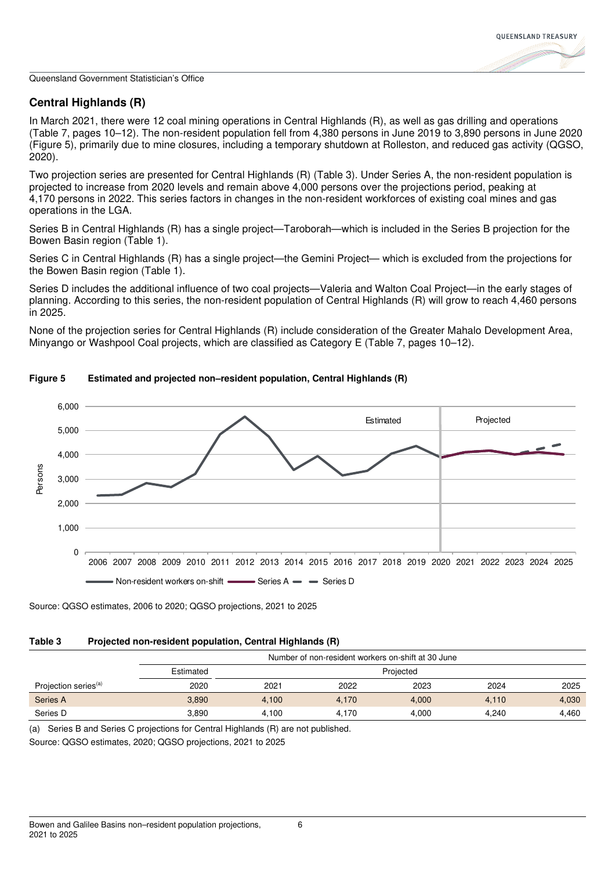## **Central Highlands (R)**

In March 2021, there were 12 coal mining operations in Central Highlands (R), as well as gas drilling and operations (Table 7, pages 10–12). The non-resident population fell from 4,380 persons in June 2019 to 3,890 persons in June 2020 (Figure 5), primarily due to mine closures, including a temporary shutdown at Rolleston, and reduced gas activity (QGSO, 2020).

Two projection series are presented for Central Highlands (R) (Table 3). Under Series A, the non-resident population is projected to increase from 2020 levels and remain above 4,000 persons over the projections period, peaking at 4,170 persons in 2022. This series factors in changes in the non-resident workforces of existing coal mines and gas operations in the LGA.

Series B in Central Highlands (R) has a single project—Taroborah—which is included in the Series B projection for the Bowen Basin region (Table 1).

Series C in Central Highlands (R) has a single project—the Gemini Project— which is excluded from the projections for the Bowen Basin region (Table 1).

Series D includes the additional influence of two coal projects—Valeria and Walton Coal Project—in the early stages of planning. According to this series, the non-resident population of Central Highlands (R) will grow to reach 4,460 persons in 2025.

None of the projection series for Central Highlands (R) include consideration of the Greater Mahalo Development Area, Minyango or Washpool Coal projects, which are classified as Category E (Table 7, pages 10–12).



## **Figure 5 Estimated and projected non–resident population, Central Highlands (R)**

Source: QGSO estimates, 2006 to 2020; QGSO projections, 2021 to 2025

## **Table 3 Projected non-resident population, Central Highlands (R)**

|                                  |           | Number of non-resident workers on-shift at 30 June |       |       |       |       |
|----------------------------------|-----------|----------------------------------------------------|-------|-------|-------|-------|
|                                  | Estimated | Projected                                          |       |       |       |       |
| Projection series <sup>(a)</sup> | 2020      | 2021                                               | 2022  | 2023  | 2024  | 2025  |
| Series A                         | 3,890     | 4.100                                              | 4.170 | 4,000 | 4,110 | 4,030 |
| Series D                         | 3.890     | 4.100                                              | 4.170 | 4.000 | 4.240 | 4.460 |

(a) Series B and Series C projections for Central Highlands (R) are not published.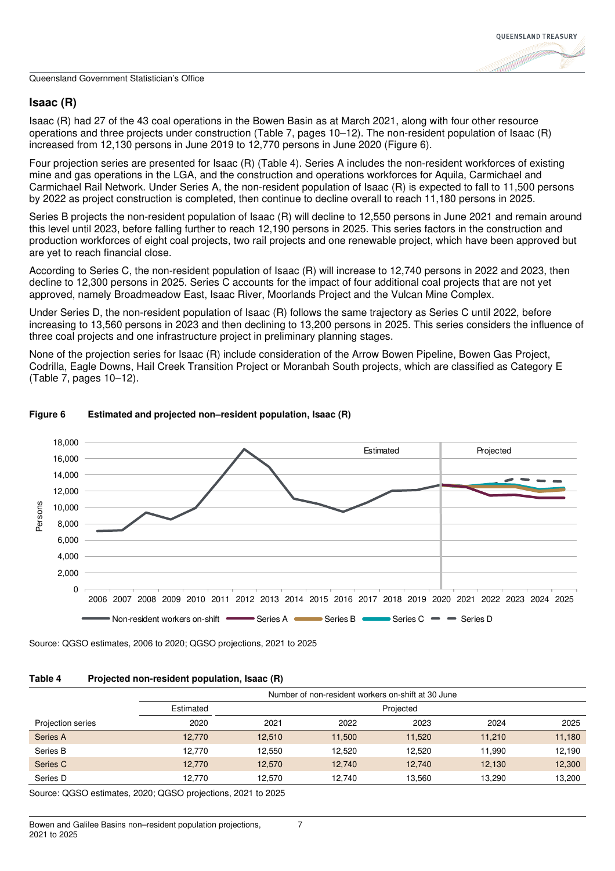## **Isaac (R)**

Isaac (R) had 27 of the 43 coal operations in the Bowen Basin as at March 2021, along with four other resource operations and three projects under construction (Table 7, pages 10–12). The non-resident population of Isaac (R) increased from 12,130 persons in June 2019 to 12,770 persons in June 2020 (Figure 6).

Four projection series are presented for Isaac (R) (Table 4). Series A includes the non-resident workforces of existing mine and gas operations in the LGA, and the construction and operations workforces for Aquila, Carmichael and Carmichael Rail Network. Under Series A, the non-resident population of Isaac (R) is expected to fall to 11,500 persons by 2022 as project construction is completed, then continue to decline overall to reach 11,180 persons in 2025.

Series B projects the non-resident population of Isaac (R) will decline to 12,550 persons in June 2021 and remain around this level until 2023, before falling further to reach 12,190 persons in 2025. This series factors in the construction and production workforces of eight coal projects, two rail projects and one renewable project, which have been approved but are yet to reach financial close.

According to Series C, the non-resident population of Isaac (R) will increase to 12,740 persons in 2022 and 2023, then decline to 12,300 persons in 2025. Series C accounts for the impact of four additional coal projects that are not yet approved, namely Broadmeadow East, Isaac River, Moorlands Project and the Vulcan Mine Complex.

Under Series D, the non-resident population of Isaac (R) follows the same trajectory as Series C until 2022, before increasing to 13,560 persons in 2023 and then declining to 13,200 persons in 2025. This series considers the influence of three coal projects and one infrastructure project in preliminary planning stages.

None of the projection series for Isaac (R) include consideration of the Arrow Bowen Pipeline, Bowen Gas Project, Codrilla, Eagle Downs, Hail Creek Transition Project or Moranbah South projects, which are classified as Category E (Table 7, pages 10–12).



## **Figure 6 Estimated and projected non–resident population, Isaac (R)**

Source: QGSO estimates, 2006 to 2020; QGSO projections, 2021 to 2025

## **Table 4 Projected non-resident population, Isaac (R)**

|                   | Number of non-resident workers on-shift at 30 June |           |        |        |        |        |
|-------------------|----------------------------------------------------|-----------|--------|--------|--------|--------|
|                   | Estimated                                          | Projected |        |        |        |        |
| Projection series | 2020                                               | 2021      | 2022   | 2023   | 2024   | 2025   |
| Series A          | 12.770                                             | 12.510    | 11,500 | 11,520 | 11.210 | 11,180 |
| Series B          | 12.770                                             | 12.550    | 12.520 | 12.520 | 11.990 | 12,190 |
| Series C          | 12.770                                             | 12.570    | 12.740 | 12.740 | 12.130 | 12,300 |
| Series D          | 12.770                                             | 12.570    | 12.740 | 13.560 | 13.290 | 13,200 |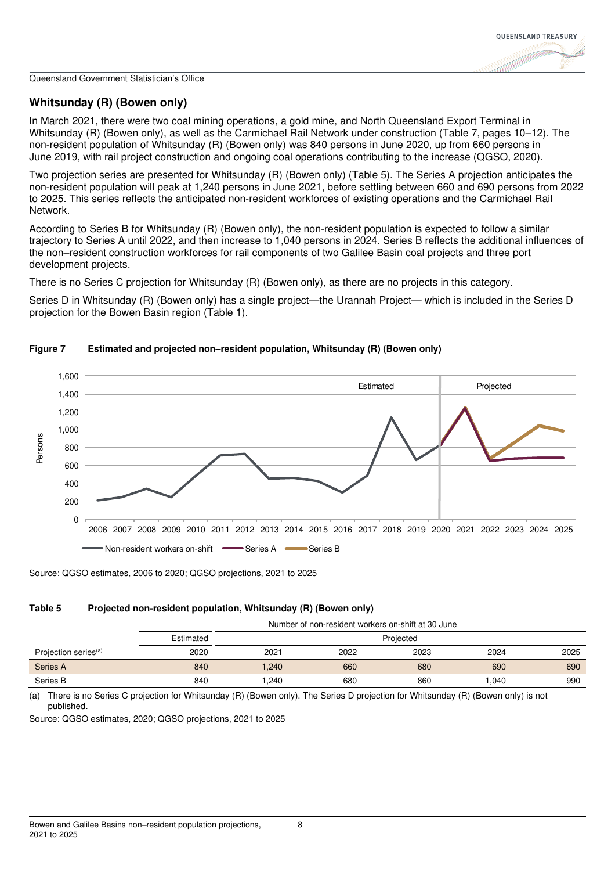

## **Whitsunday (R) (Bowen only)**

In March 2021, there were two coal mining operations, a gold mine, and North Queensland Export Terminal in Whitsunday (R) (Bowen only), as well as the Carmichael Rail Network under construction (Table 7, pages 10–12). The non-resident population of Whitsunday (R) (Bowen only) was 840 persons in June 2020, up from 660 persons in June 2019, with rail project construction and ongoing coal operations contributing to the increase (QGSO, 2020).

Two projection series are presented for Whitsunday (R) (Bowen only) (Table 5). The Series A projection anticipates the non-resident population will peak at 1,240 persons in June 2021, before settling between 660 and 690 persons from 2022 to 2025. This series reflects the anticipated non-resident workforces of existing operations and the Carmichael Rail Network.

According to Series B for Whitsunday (R) (Bowen only), the non-resident population is expected to follow a similar trajectory to Series A until 2022, and then increase to 1,040 persons in 2024. Series B reflects the additional influences of the non–resident construction workforces for rail components of two Galilee Basin coal projects and three port development projects.

There is no Series C projection for Whitsunday (R) (Bowen only), as there are no projects in this category.

Series D in Whitsunday (R) (Bowen only) has a single project—the Urannah Project— which is included in the Series D projection for the Bowen Basin region (Table 1).



## **Figure 7 Estimated and projected non–resident population, Whitsunday (R) (Bowen only)**

Source: QGSO estimates, 2006 to 2020; QGSO projections, 2021 to 2025

## **Table 5 Projected non-resident population, Whitsunday (R) (Bowen only)**

|                                  |           | Number of non-resident workers on-shift at 30 June |      |      |       |      |
|----------------------------------|-----------|----------------------------------------------------|------|------|-------|------|
|                                  | Estimated | Projected                                          |      |      |       |      |
| Projection series <sup>(a)</sup> | 2020      | 2021                                               | 2022 | 2023 | 2024  | 2025 |
| Series A                         | 840       | 1.240                                              | 660  | 680  | 690   | 690  |
| Series B                         | 840       | .240                                               | 680  | 860  | 1.040 | 990  |

(a) There is no Series C projection for Whitsunday (R) (Bowen only). The Series D projection for Whitsunday (R) (Bowen only) is not published.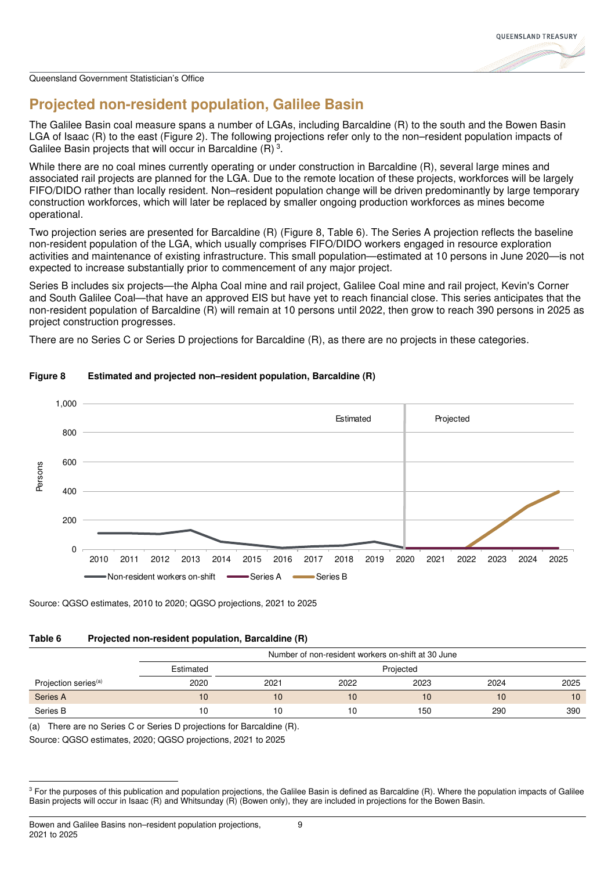

# **Projected non-resident population, Galilee Basin**

The Galilee Basin coal measure spans a number of LGAs, including Barcaldine (R) to the south and the Bowen Basin LGA of Isaac (R) to the east (Figure 2). The following projections refer only to the non–resident population impacts of Galilee Basin projects that will occur in Barcaldine  $(R)<sup>3</sup>$ .

While there are no coal mines currently operating or under construction in Barcaldine (R), several large mines and associated rail projects are planned for the LGA. Due to the remote location of these projects, workforces will be largely FIFO/DIDO rather than locally resident. Non–resident population change will be driven predominantly by large temporary construction workforces, which will later be replaced by smaller ongoing production workforces as mines become operational.

Two projection series are presented for Barcaldine (R) (Figure 8, Table 6). The Series A projection reflects the baseline non-resident population of the LGA, which usually comprises FIFO/DIDO workers engaged in resource exploration activities and maintenance of existing infrastructure. This small population—estimated at 10 persons in June 2020—is not expected to increase substantially prior to commencement of any major project.

Series B includes six projects—the Alpha Coal mine and rail project, Galilee Coal mine and rail project, Kevin's Corner and South Galilee Coal—that have an approved EIS but have yet to reach financial close. This series anticipates that the non-resident population of Barcaldine (R) will remain at 10 persons until 2022, then grow to reach 390 persons in 2025 as project construction progresses.

There are no Series C or Series D projections for Barcaldine (R), as there are no projects in these categories.



## **Figure 8 Estimated and projected non–resident population, Barcaldine (R)**

Source: QGSO estimates, 2010 to 2020; QGSO projections, 2021 to 2025

## **Table 6 Projected non-resident population, Barcaldine (R)**

|                                  |           | Number of non-resident workers on-shift at 30 June |      |      |      |      |
|----------------------------------|-----------|----------------------------------------------------|------|------|------|------|
|                                  | Estimated | Projected                                          |      |      |      |      |
| Projection series <sup>(a)</sup> | 2020      | 2021                                               | 2022 | 2023 | 2024 | 2025 |
| Series A                         | 10        | 10                                                 | 10   | 10   | 10   | 10   |
| Series B                         | 10        | 10                                                 | 10   | 150  | 290  | 390  |

(a) There are no Series C or Series D projections for Barcaldine (R).

 $3$  For the purposes of this publication and population projections, the Galilee Basin is defined as Barcaldine (R). Where the population impacts of Galilee Basin projects will occur in Isaac (R) and Whitsunday (R) (Bowen only), they are included in projections for the Bowen Basin.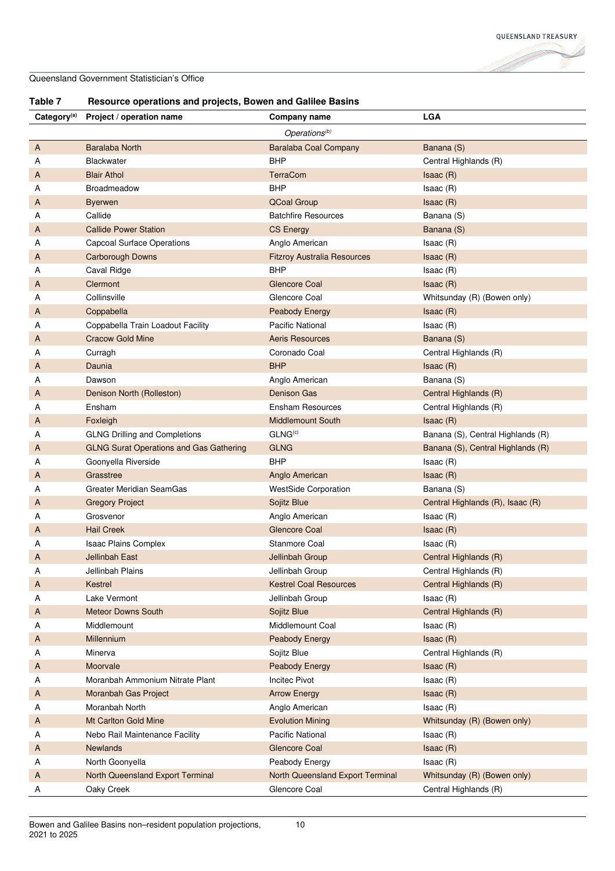| Table |  |
|-------|--|

**Table 7 Resource operations and projects, Bowen and Galilee Basins**

| Category <sup>(a)</sup> | Project / operation name                       | Company name                       | <b>LGA</b>                        |
|-------------------------|------------------------------------------------|------------------------------------|-----------------------------------|
|                         |                                                | Operations <sup>(b)</sup>          |                                   |
| A                       | <b>Baralaba North</b>                          | <b>Baralaba Coal Company</b>       | Banana (S)                        |
| А                       | <b>Blackwater</b>                              | <b>BHP</b>                         | Central Highlands (R)             |
| A                       | <b>Blair Athol</b>                             | <b>TerraCom</b>                    | Isaac(R)                          |
| А                       | Broadmeadow                                    | <b>BHP</b>                         | Isaac(R)                          |
| A                       | <b>Byerwen</b>                                 | <b>QCoal Group</b>                 | Isaac(R)                          |
| А                       | Callide                                        | <b>Batchfire Resources</b>         | Banana (S)                        |
| A                       | <b>Callide Power Station</b>                   | <b>CS Energy</b>                   | Banana (S)                        |
| А                       | <b>Capcoal Surface Operations</b>              | Anglo American                     | Isaac(R)                          |
| A                       | Carborough Downs                               | <b>Fitzroy Australia Resources</b> | Isaac(R)                          |
| А                       | Caval Ridge                                    | <b>BHP</b>                         | Isaac (R)                         |
| A                       | Clermont                                       | Glencore Coal                      | Isaac(R)                          |
| А                       | Collinsville                                   | Glencore Coal                      | Whitsunday (R) (Bowen only)       |
| A                       | Coppabella                                     | <b>Peabody Energy</b>              | Isaac(R)                          |
| А                       | Coppabella Train Loadout Facility              | <b>Pacific National</b>            | Isaac(R)                          |
| A                       | <b>Cracow Gold Mine</b>                        | <b>Aeris Resources</b>             | Banana (S)                        |
| А                       | Curragh                                        | Coronado Coal                      | Central Highlands (R)             |
| A                       | Daunia                                         | <b>BHP</b>                         | Isaac(R)                          |
| А                       | Dawson                                         | Anglo American                     | Banana (S)                        |
| A                       | Denison North (Rolleston)                      | <b>Denison Gas</b>                 | Central Highlands (R)             |
| А                       | Ensham                                         | <b>Ensham Resources</b>            | Central Highlands (R)             |
| A                       | Foxleigh                                       | <b>Middlemount South</b>           | Isaac(R)                          |
| А                       | <b>GLNG Drilling and Completions</b>           | GLNG <sup>(c)</sup>                | Banana (S), Central Highlands (R) |
| A                       | <b>GLNG Surat Operations and Gas Gathering</b> | <b>GLNG</b>                        | Banana (S), Central Highlands (R) |
| А                       | Goonyella Riverside                            | <b>BHP</b>                         | Isaac(R)                          |
| A                       | Grasstree                                      | Anglo American                     | Isaac(R)                          |
| A                       | Greater Meridian SeamGas                       | <b>WestSide Corporation</b>        | Banana (S)                        |
| A                       | <b>Gregory Project</b>                         | Sojitz Blue                        | Central Highlands (R), Isaac (R)  |
| А                       | Grosvenor                                      | Anglo American                     | Isaac(R)                          |
| A                       | <b>Hail Creek</b>                              | <b>Glencore Coal</b>               | Isaac(R)                          |
| А                       | Isaac Plains Complex                           | <b>Stanmore Coal</b>               | Isaac(R)                          |
| A                       | <b>Jellinbah East</b>                          | Jellinbah Group                    | Central Highlands (R)             |
| А                       | Jellinbah Plains                               | Jellinbah Group                    | Central Highlands (R)             |
| A                       | Kestrel                                        | <b>Kestrel Coal Resources</b>      | Central Highlands (R)             |
| А                       | Lake Vermont                                   | Jellinbah Group                    | Isaac (R)                         |
| A                       | <b>Meteor Downs South</b>                      | Sojitz Blue                        | Central Highlands (R)             |
| А                       | Middlemount                                    | Middlemount Coal                   | Isaac(R)                          |
| A                       | Millennium                                     | Peabody Energy                     | Isaac(R)                          |
| А                       | Minerva                                        | Sojitz Blue                        | Central Highlands (R)             |
| A                       | Moorvale                                       | <b>Peabody Energy</b>              | Isaac (R)                         |
| А                       | Moranbah Ammonium Nitrate Plant                | <b>Incitec Pivot</b>               | Isaac (R)                         |
| A                       | Moranbah Gas Project                           | <b>Arrow Energy</b>                | Isaac(R)                          |
| А                       | Moranbah North                                 | Anglo American                     | Isaac(R)                          |
| A                       | Mt Carlton Gold Mine                           | <b>Evolution Mining</b>            | Whitsunday (R) (Bowen only)       |
| Α                       | Nebo Rail Maintenance Facility                 | <b>Pacific National</b>            | Isaac(R)                          |
| A                       | <b>Newlands</b>                                | <b>Glencore Coal</b>               | Isaac(R)                          |
| Α                       | North Goonyella                                | Peabody Energy                     | Isaac(R)                          |
| A                       | North Queensland Export Terminal               | North Queensland Export Terminal   | Whitsunday (R) (Bowen only)       |
| A                       | Oaky Creek                                     | Glencore Coal                      | Central Highlands (R)             |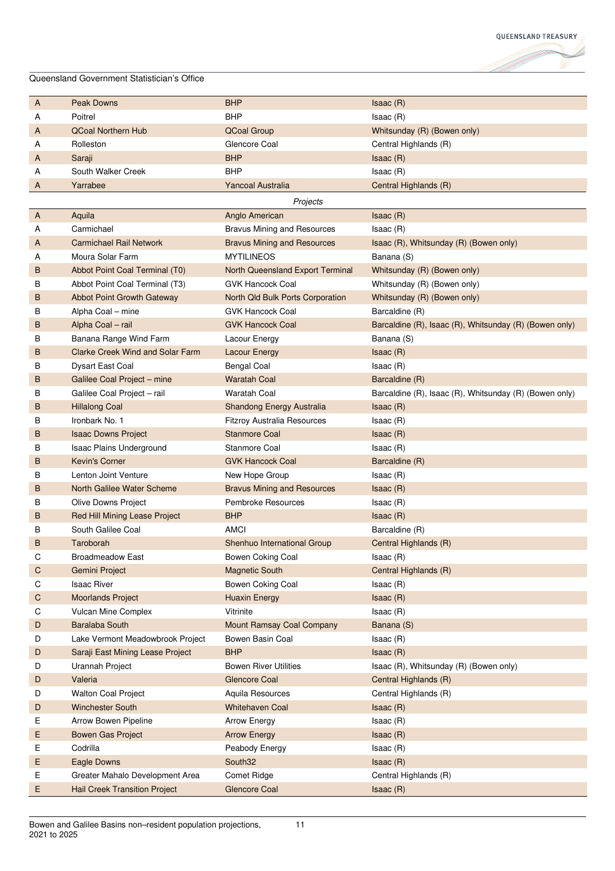| A  | <b>Peak Downs</b>                       | <b>BHP</b>                         | Isaac(R)                                               |
|----|-----------------------------------------|------------------------------------|--------------------------------------------------------|
| Α  | Poitrel                                 | <b>BHP</b>                         | Isaac(R)                                               |
| A  | <b>QCoal Northern Hub</b>               | <b>QCoal Group</b>                 | Whitsunday (R) (Bowen only)                            |
| Α  | Rolleston                               | Glencore Coal                      | Central Highlands (R)                                  |
| A  | Saraji                                  | <b>BHP</b>                         | Isaac(R)                                               |
| Α  | South Walker Creek                      | <b>BHP</b>                         | Isaac(R)                                               |
| Α  | Yarrabee                                | <b>Yancoal Australia</b>           | Central Highlands (R)                                  |
|    |                                         | Projects                           |                                                        |
| A  | Aquila                                  | Anglo American                     | Isaac(R)                                               |
| А  | Carmichael                              | <b>Bravus Mining and Resources</b> | Isaac(R)                                               |
| A  | <b>Carmichael Rail Network</b>          | <b>Bravus Mining and Resources</b> | Isaac (R), Whitsunday (R) (Bowen only)                 |
| А  | Moura Solar Farm                        | <b>MYTILINEOS</b>                  | Banana (S)                                             |
| B  | Abbot Point Coal Terminal (T0)          | North Queensland Export Terminal   | Whitsunday (R) (Bowen only)                            |
| В  | Abbot Point Coal Terminal (T3)          | <b>GVK Hancock Coal</b>            | Whitsunday (R) (Bowen only)                            |
| B  | <b>Abbot Point Growth Gateway</b>       | North Qld Bulk Ports Corporation   | Whitsunday (R) (Bowen only)                            |
| В  | Alpha Coal - mine                       | <b>GVK Hancock Coal</b>            | Barcaldine (R)                                         |
| B  | Alpha Coal - rail                       | <b>GVK Hancock Coal</b>            | Barcaldine (R), Isaac (R), Whitsunday (R) (Bowen only) |
| В  | Banana Range Wind Farm                  | Lacour Energy                      | Banana (S)                                             |
| B  | <b>Clarke Creek Wind and Solar Farm</b> | <b>Lacour Energy</b>               | Isaac(R)                                               |
| В  | <b>Dysart East Coal</b>                 | <b>Bengal Coal</b>                 | Isaac(R)                                               |
| B  | Galilee Coal Project - mine             | <b>Waratah Coal</b>                | Barcaldine (R)                                         |
| в  | Galilee Coal Project - rail             | <b>Waratah Coal</b>                | Barcaldine (R), Isaac (R), Whitsunday (R) (Bowen only) |
| В  | <b>Hillalong Coal</b>                   | Shandong Energy Australia          | Isaac(R)                                               |
| В  | Ironbark No. 1                          | <b>Fitzroy Australia Resources</b> | Isaac(R)                                               |
| B  | <b>Isaac Downs Project</b>              | <b>Stanmore Coal</b>               | Isaac(R)                                               |
| В  | Isaac Plains Underground                | <b>Stanmore Coal</b>               | Isaac (R)                                              |
| B  | <b>Kevin's Corner</b>                   | <b>GVK Hancock Coal</b>            | Barcaldine (R)                                         |
| в  | Lenton Joint Venture                    | New Hope Group                     | Isaac(R)                                               |
| B  | North Galilee Water Scheme              | <b>Bravus Mining and Resources</b> | Isaac(R)                                               |
| в  | Olive Downs Project                     | <b>Pembroke Resources</b>          | Isaac(R)                                               |
| B  | Red Hill Mining Lease Project           | <b>BHP</b>                         | Isaac(R)                                               |
| в  | South Galilee Coal                      | <b>AMCI</b>                        | Barcaldine (R)                                         |
| B  | Taroborah                               | Shenhuo International Group        | Central Highlands (R)                                  |
| С  | <b>Broadmeadow East</b>                 | Bowen Coking Coal                  | Isaac (R)                                              |
| C  | Gemini Project                          | <b>Magnetic South</b>              | Central Highlands (R)                                  |
| С  | <b>Isaac River</b>                      | Bowen Coking Coal                  | Isaac (R)                                              |
| C  | <b>Moorlands Project</b>                | <b>Huaxin Energy</b>               | Isaac(R)                                               |
| С  | Vulcan Mine Complex                     | Vitrinite                          | Isaac(R)                                               |
| D  | <b>Baralaba South</b>                   | <b>Mount Ramsay Coal Company</b>   | Banana (S)                                             |
| D  | Lake Vermont Meadowbrook Project        | Bowen Basin Coal                   | Isaac (R)                                              |
| D  | Saraji East Mining Lease Project        | <b>BHP</b>                         | Isaac (R)                                              |
| D  | Urannah Project                         | <b>Bowen River Utilities</b>       | Isaac (R), Whitsunday (R) (Bowen only)                 |
| D  | Valeria                                 | <b>Glencore Coal</b>               | Central Highlands (R)                                  |
| D  | Walton Coal Project                     | Aquila Resources                   | Central Highlands (R)                                  |
| D  | <b>Winchester South</b>                 | <b>Whitehaven Coal</b>             | Isaac(R)                                               |
| Е  | Arrow Bowen Pipeline                    | <b>Arrow Energy</b>                | Isaac(R)                                               |
| E, | Bowen Gas Project                       | <b>Arrow Energy</b>                | Isaac(R)                                               |
| E. | Codrilla                                | Peabody Energy                     | Isaac(R)                                               |
| Ε  | Eagle Downs                             | South32                            | Isaac(R)                                               |
| Ε  | Greater Mahalo Development Area         | Comet Ridge                        | Central Highlands (R)                                  |
| Ε  | <b>Hail Creek Transition Project</b>    | <b>Glencore Coal</b>               | Isaac(R)                                               |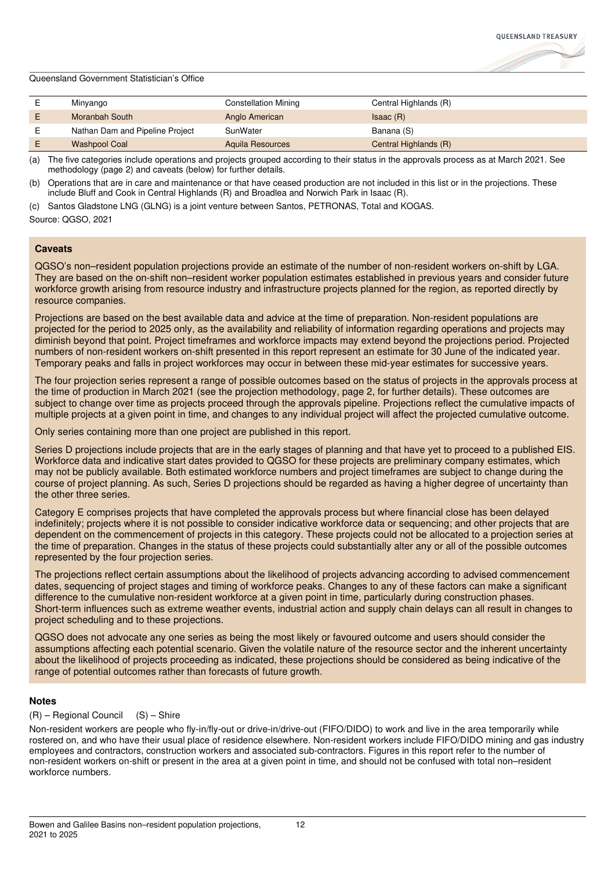

| Minyango                        | <b>Constellation Mining</b> | Central Highlands (R) |
|---------------------------------|-----------------------------|-----------------------|
| Moranbah South                  | Anglo American              | Isaac(R)              |
| Nathan Dam and Pipeline Project | SunWater                    | Banana (S)            |
| <b>Washpool Coal</b>            | Aguila Resources            | Central Highlands (R) |

(a) The five categories include operations and projects grouped according to their status in the approvals process as at March 2021. See methodology (page 2) and caveats (below) for further details.

(b) Operations that are in care and maintenance or that have ceased production are not included in this list or in the projections. These include Bluff and Cook in Central Highlands (R) and Broadlea and Norwich Park in Isaac (R).

(c) Santos Gladstone LNG (GLNG) is a joint venture between Santos, PETRONAS, Total and KOGAS.

Source: QGSO, 2021

#### **Caveats**

QGSO's non–resident population projections provide an estimate of the number of non-resident workers on-shift by LGA. They are based on the on-shift non–resident worker population estimates established in previous years and consider future workforce growth arising from resource industry and infrastructure projects planned for the region, as reported directly by resource companies.

Projections are based on the best available data and advice at the time of preparation. Non-resident populations are projected for the period to 2025 only, as the availability and reliability of information regarding operations and projects may diminish beyond that point. Project timeframes and workforce impacts may extend beyond the projections period. Projected numbers of non-resident workers on-shift presented in this report represent an estimate for 30 June of the indicated year. Temporary peaks and falls in project workforces may occur in between these mid-year estimates for successive years.

The four projection series represent a range of possible outcomes based on the status of projects in the approvals process at the time of production in March 2021 (see the projection methodology, page 2, for further details). These outcomes are subject to change over time as projects proceed through the approvals pipeline. Projections reflect the cumulative impacts of multiple projects at a given point in time, and changes to any individual project will affect the projected cumulative outcome.

Only series containing more than one project are published in this report.

Series D projections include projects that are in the early stages of planning and that have yet to proceed to a published EIS. Workforce data and indicative start dates provided to QGSO for these projects are preliminary company estimates, which may not be publicly available. Both estimated workforce numbers and project timeframes are subject to change during the course of project planning. As such, Series D projections should be regarded as having a higher degree of uncertainty than the other three series.

Category E comprises projects that have completed the approvals process but where financial close has been delayed indefinitely; projects where it is not possible to consider indicative workforce data or sequencing; and other projects that are dependent on the commencement of projects in this category. These projects could not be allocated to a projection series at the time of preparation. Changes in the status of these projects could substantially alter any or all of the possible outcomes represented by the four projection series.

The projections reflect certain assumptions about the likelihood of projects advancing according to advised commencement dates, sequencing of project stages and timing of workforce peaks. Changes to any of these factors can make a significant difference to the cumulative non-resident workforce at a given point in time, particularly during construction phases. Short-term influences such as extreme weather events, industrial action and supply chain delays can all result in changes to project scheduling and to these projections.

QGSO does not advocate any one series as being the most likely or favoured outcome and users should consider the assumptions affecting each potential scenario. Given the volatile nature of the resource sector and the inherent uncertainty about the likelihood of projects proceeding as indicated, these projections should be considered as being indicative of the range of potential outcomes rather than forecasts of future growth.

#### **Notes**

## (R) – Regional Council (S) – Shire

Non-resident workers are people who fly-in/fly-out or drive-in/drive-out (FIFO/DIDO) to work and live in the area temporarily while rostered on, and who have their usual place of residence elsewhere. Non-resident workers include FIFO/DIDO mining and gas industry employees and contractors, construction workers and associated sub-contractors. Figures in this report refer to the number of non-resident workers on-shift or present in the area at a given point in time, and should not be confused with total non–resident workforce numbers.